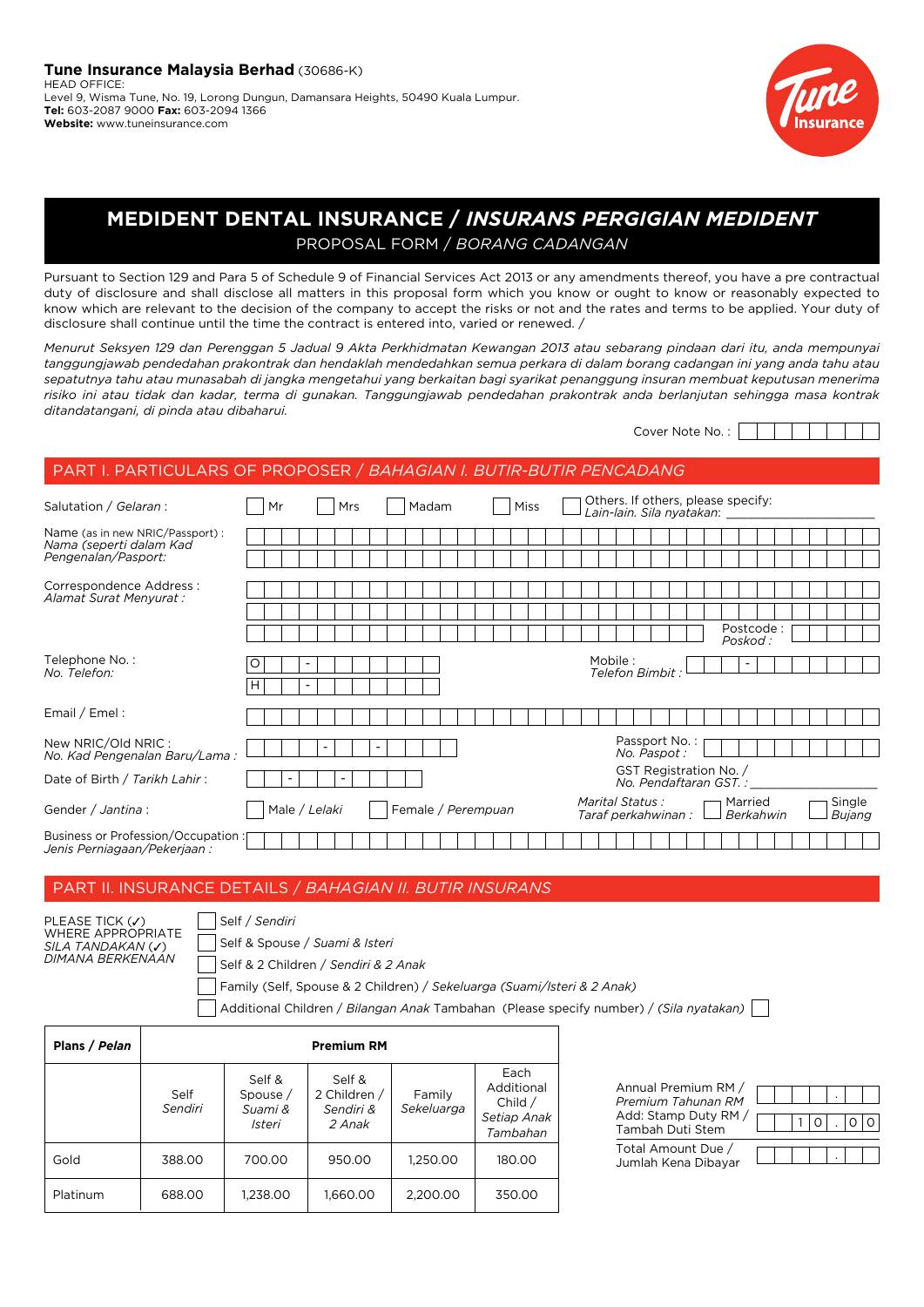

# **MEDIDENT DENTAL INSURANCE /** *INSURANS PERGIGIAN MEDIDENT*  PROPOSAL FORM / *BORANG CADANGAN*

Pursuant to Section 129 and Para 5 of Schedule 9 of Financial Services Act 2013 or any amendments thereof, you have a pre contractual duty of disclosure and shall disclose all matters in this proposal form which you know or ought to know or reasonably expected to know which are relevant to the decision of the company to accept the risks or not and the rates and terms to be applied. Your duty of disclosure shall continue until the time the contract is entered into, varied or renewed. /

*Menurut Seksyen 129 dan Perenggan 5 Jadual 9 Akta Perkhidmatan Kewangan 2013 atau sebarang pindaan dari itu, anda mempunyai tanggungjawab pendedahan prakontrak dan hendaklah mendedahkan semua perkara di dalam borang cadangan ini yang anda tahu atau sepatutnya tahu atau munasabah di jangka mengetahui yang berkaitan bagi syarikat penanggung insuran membuat keputusan menerima risiko ini atau tidak dan kadar, terma di gunakan. Tanggungjawab pendedahan prakontrak anda berlanjutan sehingga masa kontrak ditandatangani, di pinda atau dibaharui.*

Cover Note No. :

# PART I. PARTICULARS OF PROPOSER / *BAHAGIAN I. BUTIR-BUTIR PENCADANG*

| Salutation / Gelaran :                                                    | Mr | <b>Mrs</b>               | Madam                    | <b>Miss</b>        |         | Others. If others, please specify:<br>Lain-lain. Sila nyatakan: |                       |                  |  |
|---------------------------------------------------------------------------|----|--------------------------|--------------------------|--------------------|---------|-----------------------------------------------------------------|-----------------------|------------------|--|
| Name (as in new NRIC/Passport):<br>Nama (seperti dalam Kad                |    |                          |                          |                    |         |                                                                 |                       |                  |  |
| Pengenalan/Pasport:                                                       |    |                          |                          |                    |         |                                                                 |                       |                  |  |
| Correspondence Address :<br>Alamat Surat Menyurat :                       |    |                          |                          |                    |         |                                                                 |                       |                  |  |
|                                                                           |    |                          |                          |                    |         |                                                                 |                       |                  |  |
|                                                                           |    |                          |                          |                    |         |                                                                 | Postcode:<br>Poskod : |                  |  |
| Telephone No.:<br>No. Telefon:                                            |    |                          |                          |                    | Mobile: | Telefon Bimbit                                                  |                       |                  |  |
|                                                                           | н  |                          |                          |                    |         |                                                                 |                       |                  |  |
| Email / Emel:                                                             |    |                          |                          |                    |         |                                                                 |                       |                  |  |
| New NRIC/Old NRIC:<br>No. Kad Pengenalan Baru/Lama :                      |    | $\overline{\phantom{a}}$ | $\overline{\phantom{a}}$ |                    |         | Passport No.:<br>No. Paspot:                                    |                       |                  |  |
| Date of Birth / Tarikh Lahir:                                             |    | $\overline{\phantom{a}}$ |                          |                    |         | GST Registration No. /<br>No. Pendaftaran GST. :                |                       |                  |  |
| Gender / Jantina :                                                        |    | Male / Lelaki            |                          | Female / Perempuan |         | Marital Status :<br>Taraf perkahwinan :                         | Married<br>Berkahwin  | Single<br>Bujang |  |
| <b>Business or Profession/Occupation:</b><br>Jenis Perniagaan/Pekerjaan : |    |                          |                          |                    |         |                                                                 |                       |                  |  |

# PART II. INSURANCE DETAILS / *BAHAGIAN II. BUTIR INSURANS*

| PLEASE TICK (V)            |
|----------------------------|
| <b>WHERE APPROPRIATE</b>   |
| SILA TANDAKAN ( <b>√</b> ) |
| DIMANA BERKENAAN           |
|                            |

Self / *Sendiri* Self & Spouse / *Suami & Isteri* Self & 2 Children / *Sendiri & 2 Anak*

Family (Self, Spouse & 2 Children) / *Sekeluarga (Suami/Isteri & 2 Anak)*

Additional Children / *Bilangan Anak* Tambahan (Please specify number) / *(Sila nyatakan)*

| Plans / Pelan |                 |                                         | <b>Premium RM</b>                             |                      |                                                            |
|---------------|-----------------|-----------------------------------------|-----------------------------------------------|----------------------|------------------------------------------------------------|
|               | Self<br>Sendiri | Self &<br>Spouse /<br>Suami &<br>Isteri | Self &<br>2 Children /<br>Sendiri &<br>2 Anak | Family<br>Sekeluarga | Each<br>Additional<br>Child $/$<br>Setiap Anak<br>Tambahan |
| Gold          | 388.00          | 700.00                                  | 950.00                                        | 1,250.00             | 180.00                                                     |
| Platinum      | 688.00          | 1,238.00                                | 1,660.00                                      | 2,200.00             | 350.00                                                     |

| Annual Premium RM /<br>Premium Tahunan RM |  |  |  |  |
|-------------------------------------------|--|--|--|--|
| Add: Stamp Duty RM /<br>Tambah Duti Stem  |  |  |  |  |
| Total Amount Due /<br>Jumlah Kena Dibayar |  |  |  |  |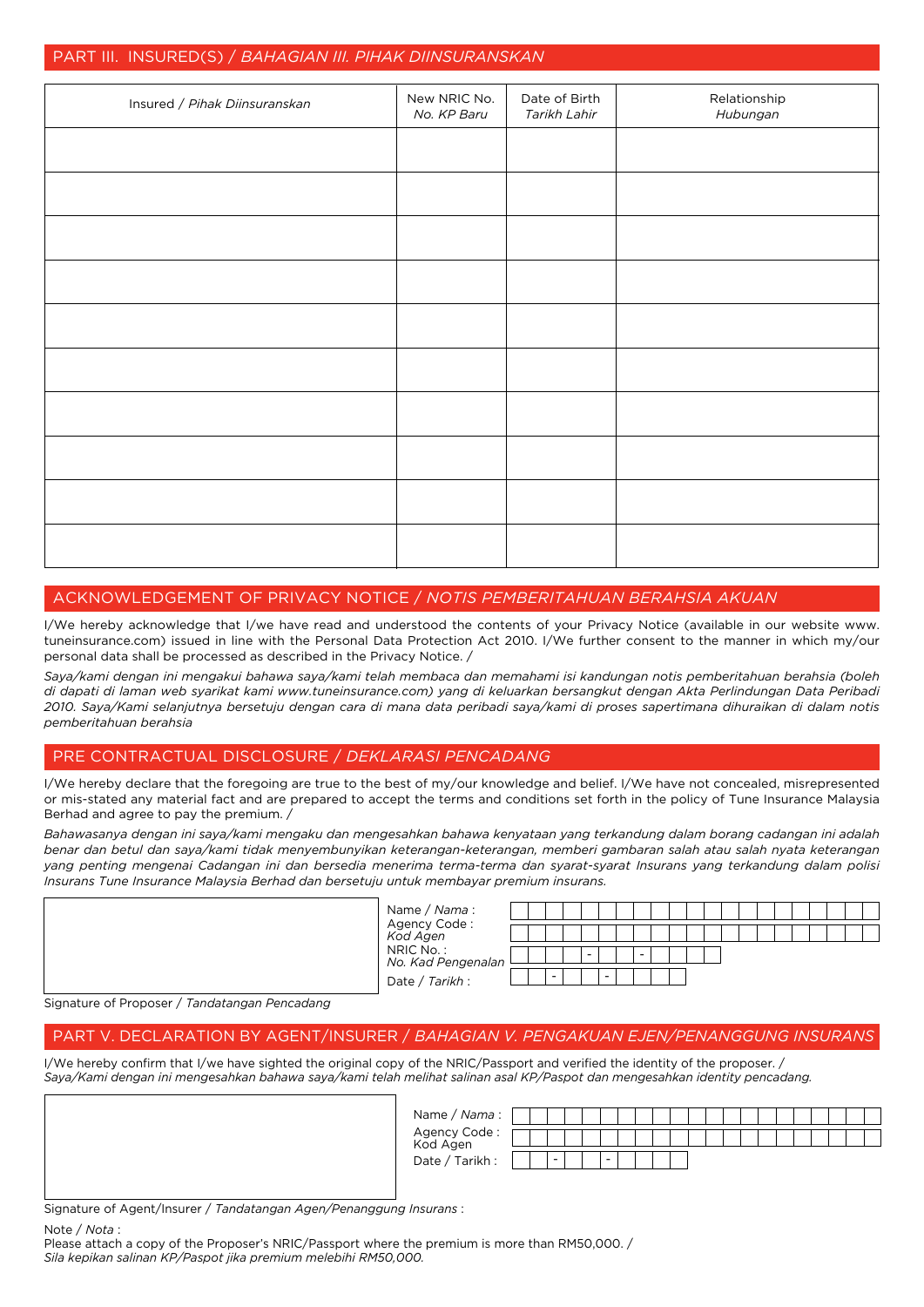# PART III. INSURED(S) / *BAHAGIAN III. PIHAK DIINSURANSKAN* Relationship *Hubungan* Date of Birth *Tarikh Lahir* New NRIC No. *No. KP Baru* Insured / *Pihak Diinsuranskan*

# Acknowledgement of Privacy Notice / *Notis Pemberitahuan Berahsia Akuan*

I/We hereby acknowledge that I/we have read and understood the contents of your Privacy Notice (available in our website www. tuneinsurance.com) issued in line with the Personal Data Protection Act 2010. I/We further consent to the manner in which my/our personal data shall be processed as described in the Privacy Notice. /

*Saya/kami dengan ini mengakui bahawa saya/kami telah membaca dan memahami isi kandungan notis pemberitahuan berahsia (boleh di dapati di laman web syarikat kami www.tuneinsurance.com) yang di keluarkan bersangkut dengan Akta Perlindungan Data Peribadi 2010. Saya/Kami selanjutnya bersetuju dengan cara di mana data peribadi saya/kami di proses sapertimana dihuraikan di dalam notis pemberitahuan berahsia*

# Pre Contractual Disclosure / *Deklarasi Pencadang*

I/We hereby declare that the foregoing are true to the best of my/our knowledge and belief. I/We have not concealed, misrepresented or mis-stated any material fact and are prepared to accept the terms and conditions set forth in the policy of Tune Insurance Malaysia Berhad and agree to pay the premium. /

*Bahawasanya dengan ini saya/kami mengaku dan mengesahkan bahawa kenyataan yang terkandung dalam borang cadangan ini adalah benar dan betul dan saya/kami tidak menyembunyikan keterangan-keterangan, memberi gambaran salah atau salah nyata keterangan yang penting mengenai Cadangan ini dan bersedia menerima terma-terma dan syarat-syarat Insurans yang terkandung dalam polisi Insurans Tune Insurance Malaysia Berhad dan bersetuju untuk membayar premium insurans.*

|                                         | Name / <i>Nama</i> :<br>Agency Code :<br><i>Kod Agen</i>          |  |  |        |        |  |  |  |  |  |  |
|-----------------------------------------|-------------------------------------------------------------------|--|--|--------|--------|--|--|--|--|--|--|
|                                         | NRIC No. :<br><i>No. Kad Pengenalan</i><br>Date / <i>Tarikh</i> : |  |  |        | $\sim$ |  |  |  |  |  |  |
|                                         |                                                                   |  |  | $\sim$ |        |  |  |  |  |  |  |
| us of Droposor / Tandatangan Donapalang |                                                                   |  |  |        |        |  |  |  |  |  |  |

Signature of Proposer / *Tandatangan Pencadang*

# PART V. DECLARATION BY AGENT/INSURER / *BAHAGIAN V. PENGAKUAN EJEN/PENANGGUNG INSURANS*

I/We hereby confirm that I/we have sighted the original copy of the NRIC/Passport and verified the identity of the proposer. / *Saya/Kami dengan ini mengesahkan bahawa saya/kami telah melihat salinan asal KP/Paspot dan mengesahkan identity pencadang.*

| Name / Nama :             |  |                          |  |                          |  |  |  |  |  |  |  |  |
|---------------------------|--|--------------------------|--|--------------------------|--|--|--|--|--|--|--|--|
| Agency Code :<br>Kod Agen |  |                          |  |                          |  |  |  |  |  |  |  |  |
| / Tarikh :<br>Date .      |  | $\overline{\phantom{a}}$ |  | $\overline{\phantom{a}}$ |  |  |  |  |  |  |  |  |

Signature of Agent/Insurer / *Tandatangan Agen/Penanggung Insurans* :

Note / *Nota* :

Please attach a copy of the Proposer's NRIC/Passport where the premium is more than RM50,000. / *Sila kepikan salinan KP/Paspot jika premium melebihi RM50,000.*